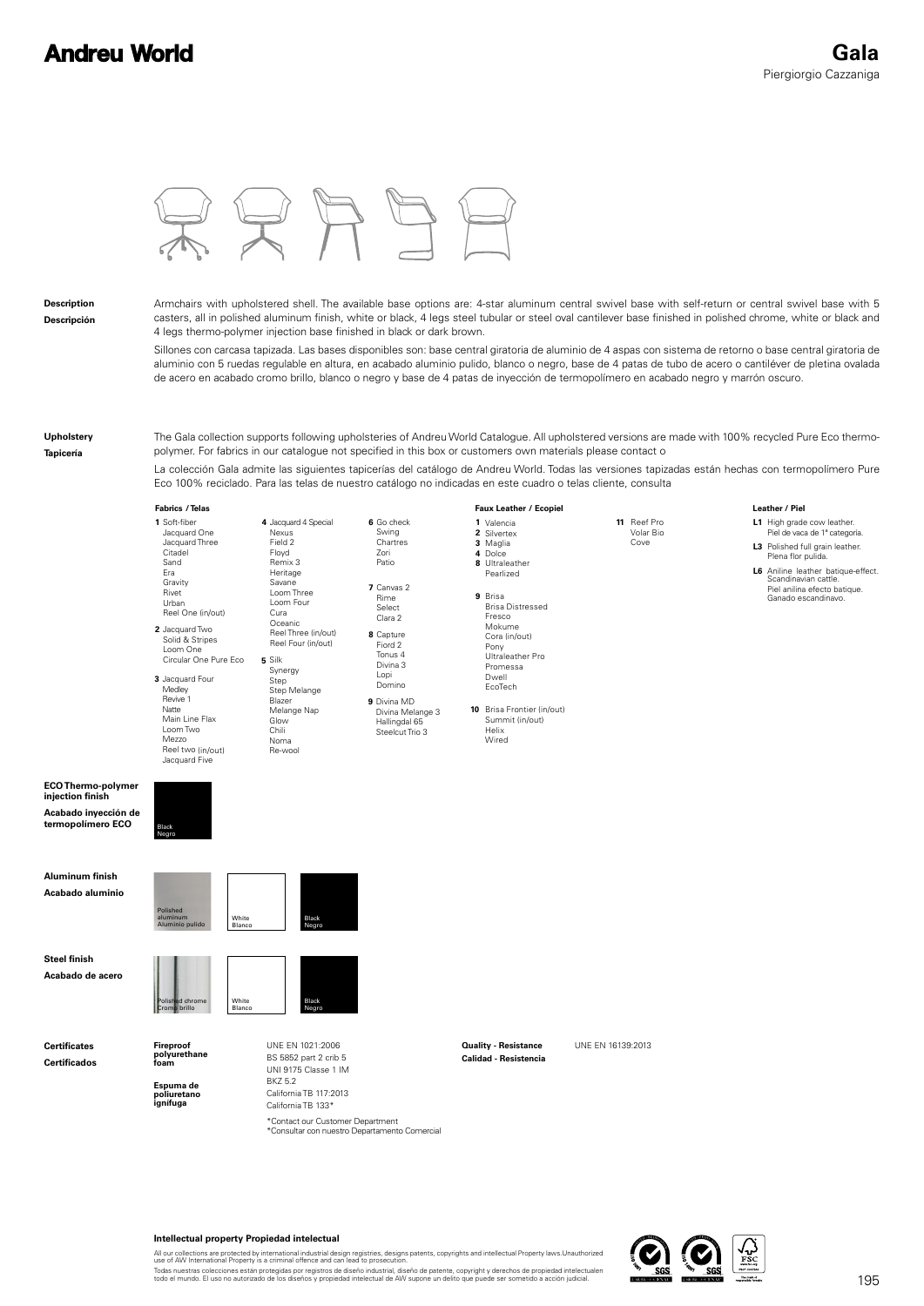# **Andreu World**

**Leather / Piel** 



### **Description**

**Descripción**

Armchairs with upholstered shell. The available base options are: 4-star aluminum central swivel base with self-return or central swivel base with 5 casters, all in polished aluminum finish, white or black, 4 legs steel tubular or steel oval cantilever base finished in polished chrome, white or black and 4 legs thermo-polymer injection base finished in black or dark brown.

Sillones con carcasa tapizada. Las bases disponibles son: base central giratoria de aluminio de 4 aspas con sistema de retorno o base central giratoria de aluminio con 5 ruedas regulable en altura, en acabado aluminio pulido, blanco o negro, base de 4 patas de tubo de acero o cantiléver de pletina ovalada de acero en acabado cromo brillo, blanco o negro y base de 4 patas de inyección de termopolímero en acabado negro y marrón oscuro.

#### **Upholstery Tapicería**

The Gala collection supports following upholsteries of Andreu World Catalogue. All upholstered versions are made with 100% recycled Pure Eco thermopolymer. For fabrics in our catalogue not specified in this box or customers own materials please contact o

La colección Gala admite las siguientes tapicerías del catálogo de Andreu World. Todas las versiones tapizadas están hechas con termopolímero Pure Eco 100% reciclado. Para las telas de nuestro catálogo no indicadas en este cuadro o telas cliente, consulta

#### **/ Telas / Ecopiel Leather Fabrics Faux Leather**

|                                                                                            | 1 Soft-fiber<br>Jacquard One<br>Jacquard Three<br>Citadel<br>Sand<br>Era<br>Gravity<br>Rivet<br>Urban<br>Reel One (in/out)<br>2 Jacquard Two<br>Solid & Stripes<br>Loom One<br>Circular One Pure Eco<br>3 Jacquard Four<br>Medley<br>Revive 1<br>Natte<br>Main Line Flax<br>Loom Two<br>Mezzo<br>Reel two (in/out)<br>Jacquard Five | 4 Jacquard 4 Special<br>Nexus<br>Field 2<br>Floyd<br>Remix 3<br>Heritage<br>Savane<br>Loom Three<br>Loom Four<br>Cura<br>Oceanic<br>Reel Three (in/out)<br>Reel Four (in/out)<br>5 Silk<br>Synergy<br>Step<br>Step Melange<br>Blazer<br>Melange Nap<br>Glow<br>Chili<br>Noma<br>Re-wool | 6 Go check<br>Swing<br>Chartres<br>Zori<br>Patio<br>7 Canvas 2<br>Rime<br>Select<br>Clara 2<br>8 Capture<br>Fiord 2<br>Tonus 4<br>Divina 3<br>Lopi<br>Domino<br>9 Divina MD<br>Divina Melange 3<br>Hallingdal 65<br>Steelcut Trio 3 | 1 Valencia<br>2 Silvertex<br>3 Maglia<br>4 Dolce<br>8 Ultraleather<br>Pearlized<br>9 Brisa<br><b>Brisa Distressed</b><br>Fresco<br>Mokume<br>Cora (in/out)<br>Pony<br>Ultraleather Pro<br>Promessa<br>Dwell<br>EcoTech<br>10 Brisa Frontier (in/out)<br>Summit (in/out)<br>Helix<br>Wired | 11 Reef Pro<br>Volar Bio<br>Cove | L1 High grade cow leather.<br>Piel de vaca de 1ª categoría.<br>L3 Polished full grain leather.<br>Plena flor pulida.<br>L6 Aniline leather batique-effect<br>Scandinavian cattle.<br>Piel anilina efecto batique.<br>Ganado escandinavo. |
|--------------------------------------------------------------------------------------------|-------------------------------------------------------------------------------------------------------------------------------------------------------------------------------------------------------------------------------------------------------------------------------------------------------------------------------------|-----------------------------------------------------------------------------------------------------------------------------------------------------------------------------------------------------------------------------------------------------------------------------------------|-------------------------------------------------------------------------------------------------------------------------------------------------------------------------------------------------------------------------------------|-------------------------------------------------------------------------------------------------------------------------------------------------------------------------------------------------------------------------------------------------------------------------------------------|----------------------------------|------------------------------------------------------------------------------------------------------------------------------------------------------------------------------------------------------------------------------------------|
| <b>ECO Thermo-polymer</b><br>injection finish<br>Acabado inyección de<br>termopolímero ECO | Black<br>Negro                                                                                                                                                                                                                                                                                                                      |                                                                                                                                                                                                                                                                                         |                                                                                                                                                                                                                                     |                                                                                                                                                                                                                                                                                           |                                  |                                                                                                                                                                                                                                          |
| Aluminum finish<br>Acabado aluminio                                                        | Polished<br>aluminum<br>White<br>Aluminio pulido<br>Blanco                                                                                                                                                                                                                                                                          | Black<br>Negro                                                                                                                                                                                                                                                                          |                                                                                                                                                                                                                                     |                                                                                                                                                                                                                                                                                           |                                  |                                                                                                                                                                                                                                          |
| <b>Steel finish</b><br>Acabado de acero                                                    | Polished chrome<br>White<br><b>Cromo</b> brillo<br>Blanco                                                                                                                                                                                                                                                                           | Black<br>Negro                                                                                                                                                                                                                                                                          |                                                                                                                                                                                                                                     |                                                                                                                                                                                                                                                                                           |                                  |                                                                                                                                                                                                                                          |
| <b>Certificates</b><br><b>Certificados</b>                                                 | Fireproof<br>polyurethane<br>foam<br>Espuma de<br>poliuretano<br>ignífuga                                                                                                                                                                                                                                                           | UNE EN 1021:2006<br>BS 5852 part 2 crib 5<br>UNI 9175 Classe 1 IM<br><b>BKZ 5.2</b><br>California TB 117:2013<br>California TB 133*<br>*Contact our Customer Department<br>*Consultar con nuestro Departamento Comercial                                                                |                                                                                                                                                                                                                                     | <b>Quality - Resistance</b><br><b>Calidad - Resistencia</b>                                                                                                                                                                                                                               | UNE EN 16139:2013                |                                                                                                                                                                                                                                          |

#### **Intellectual property Propiedad intelectual**

All our collections are protected by international industrial design registries, designs patents, copyrights and intellectual Property laws.Unauthorized<br>use of AW International Property is a criminal offence and can lead t

Todas nuestras colecciones están protegidas por registros de diseño industrial, diseño de patente, copyright y derechos de propiedad intelectualen<br>todo el mundo. El uso no autorizado de los diseños y propiedad intelectual

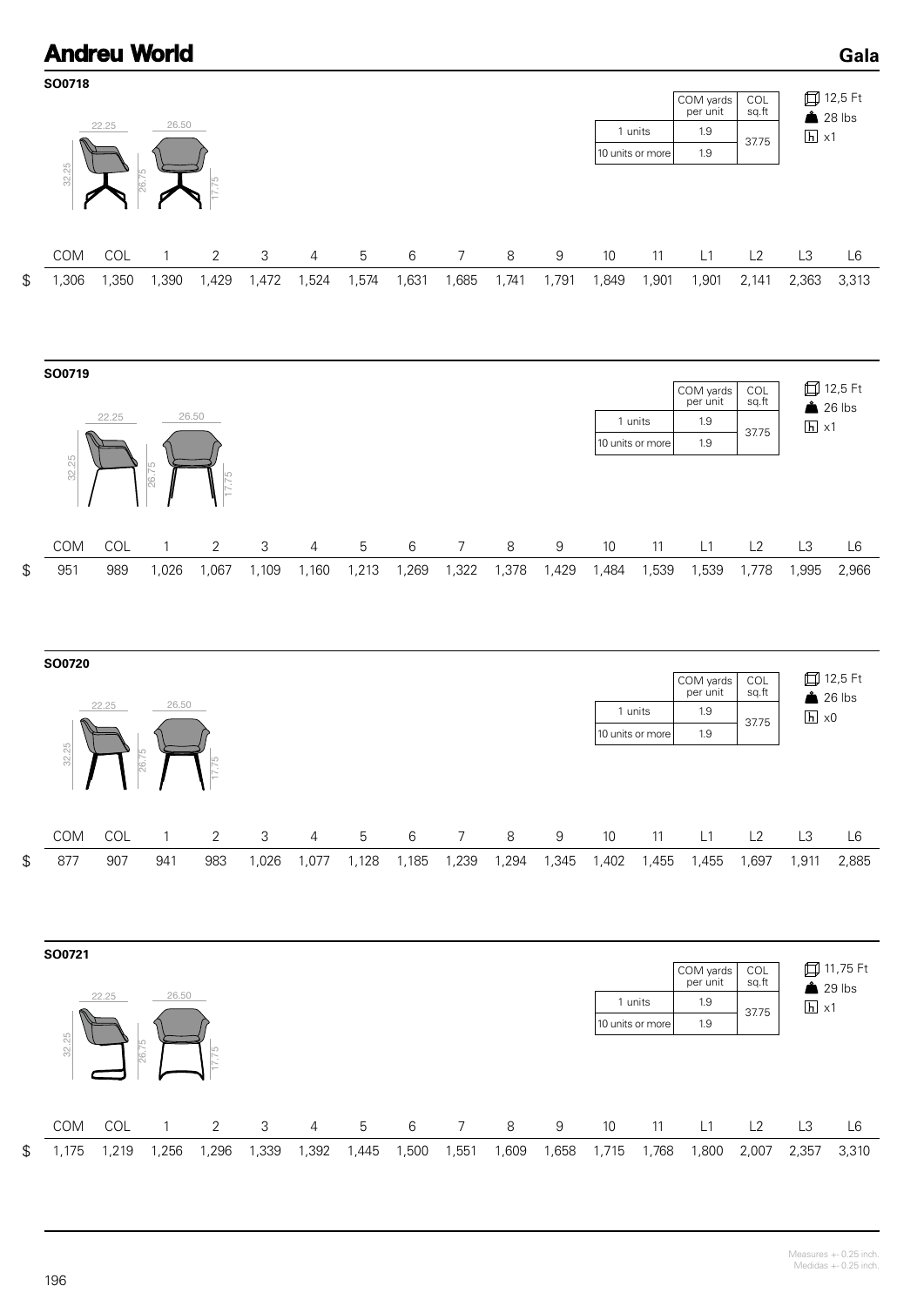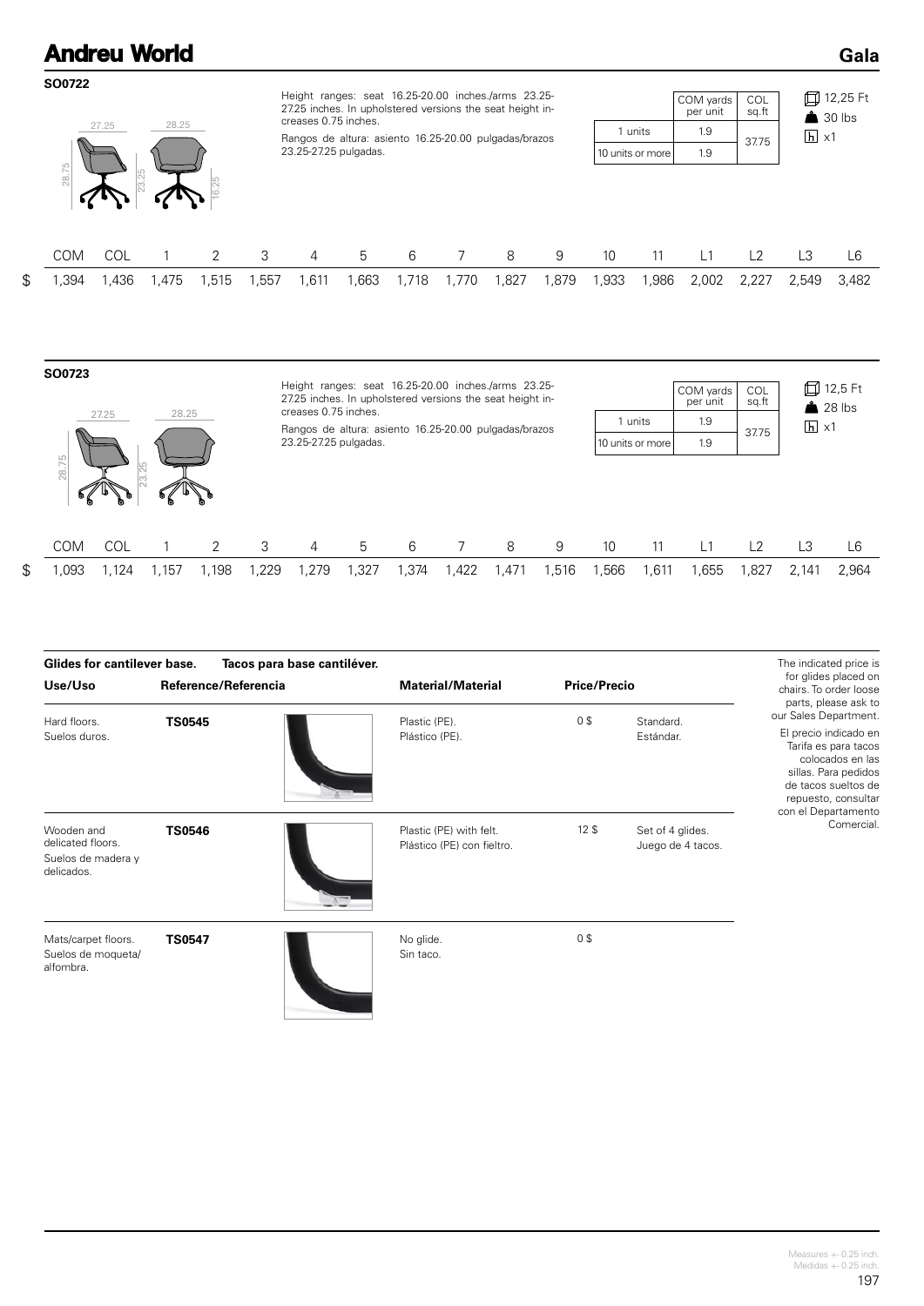|                     |       | <b>Andreu World</b> |       |      |                      |                                                                                                                  |       |                |      |       |      |                  |                       |              |                   | Gala                             |
|---------------------|-------|---------------------|-------|------|----------------------|------------------------------------------------------------------------------------------------------------------|-------|----------------|------|-------|------|------------------|-----------------------|--------------|-------------------|----------------------------------|
| SO0722              |       |                     |       |      |                      | Height ranges: seat 16.25-20.00 inches./arms 23.25-<br>27.25 inches. In upholstered versions the seat height in- |       |                |      |       |      |                  | COM yards<br>per unit | COL<br>sq.ft |                   | 口 12,25 Ft<br>$\triangle$ 30 lbs |
|                     | 27.25 | 28.25               |       |      | creases 0.75 inches. | Rangos de altura: asiento 16.25-20.00 pulgadas/brazos                                                            |       |                |      |       |      | 1 units          | 1.9                   |              | $\overline{h}$ x1 |                                  |
|                     |       |                     |       |      |                      | 23.25-27.25 pulgadas.                                                                                            |       |                |      |       |      | 10 units or more | 1.9                   | 37.75        |                   |                                  |
| 28.75<br><b>COM</b> | COL   |                     | 2     | 3    | 4                    | 5                                                                                                                | 6     | $\overline{7}$ | 8    | 9     | 10   | 11               | L1                    | L2           | L3                | L <sub>6</sub>                   |
| 1,394               | 1,436 | .475                | 1,515 | .557 | 1,611                | ,663                                                                                                             | 1,718 | 1,770          | ,827 | 1,879 | ,933 | ,986             | 2,002                 | 2,227        | 2,549             | 3,482                            |
|                     |       |                     |       |      |                      |                                                                                                                  |       |                |      |       |      |                  |                       |              |                   |                                  |

| SO0723<br>28.25<br>27.25 |            |       |      |      | Height ranges: seat 16.25-20.00 inches./arms 23.25-<br>27.25 inches. In upholstered versions the seat height in-<br>creases 0.75 inches.<br>1 units<br>Rangos de altura: asiento 16.25-20.00 pulgadas/brazos<br>23.25-27.25 pulgadas.<br>10 units or more |      |       |      |       |       |       |      | COM yards<br>per unit<br>1.9<br>1.9 | COL<br>sq.ft<br>37.75 |       | 口 12,5 Ft<br>$28$ lbs<br>$\overline{h}$ x1 |  |
|--------------------------|------------|-------|------|------|-----------------------------------------------------------------------------------------------------------------------------------------------------------------------------------------------------------------------------------------------------------|------|-------|------|-------|-------|-------|------|-------------------------------------|-----------------------|-------|--------------------------------------------|--|
| 28.75<br><b>COM</b>      | <b>COL</b> |       | っ    | 3    | 4                                                                                                                                                                                                                                                         | 5    | 6     |      | 8     | 9     | 10    | 11   | L <sub>1</sub>                      | L2                    | L3    | L6                                         |  |
| \$<br>,093               | .124       | 1,157 | ,198 | ,229 | .279                                                                                                                                                                                                                                                      | .327 | 1,374 | .422 | 1,471 | 1,516 | 1,566 | ,611 | .655                                | 827, ا                | 2.141 | 2.964                                      |  |

| <b>Glides for cantilever base.</b>                                  | Tacos para base cantiléver. |                                                       |                     |                                       | The indicated price is                                                                                                                                                                                          |
|---------------------------------------------------------------------|-----------------------------|-------------------------------------------------------|---------------------|---------------------------------------|-----------------------------------------------------------------------------------------------------------------------------------------------------------------------------------------------------------------|
| Use/Uso                                                             | Reference/Referencia        | <b>Material/Material</b>                              | <b>Price/Precio</b> |                                       | for glides placed on<br>chairs. To order loose                                                                                                                                                                  |
| Hard floors.<br>Suelos duros.                                       | <b>TS0545</b>               | Plastic (PE).<br>Plástico (PE).                       | 0 <sup>3</sup>      | Standard.<br>Estándar.                | parts, please ask to<br>our Sales Department.<br>El precio indicado en<br>Tarifa es para tacos<br>colocados en las<br>sillas. Para pedidos<br>de tacos sueltos de<br>repuesto, consultar<br>con el Departamento |
| Wooden and<br>delicated floors.<br>Suelos de madera y<br>delicados. | <b>TS0546</b>               | Plastic (PE) with felt.<br>Plástico (PE) con fieltro. | 12 <sup>5</sup>     | Set of 4 glides.<br>Juego de 4 tacos. | Comercial.                                                                                                                                                                                                      |
| Mats/carpet floors.<br>Suelos de moqueta/<br>alfombra.              | <b>TS0547</b>               | No glide.<br>Sin taco.                                | 0 <sup>3</sup>      |                                       |                                                                                                                                                                                                                 |